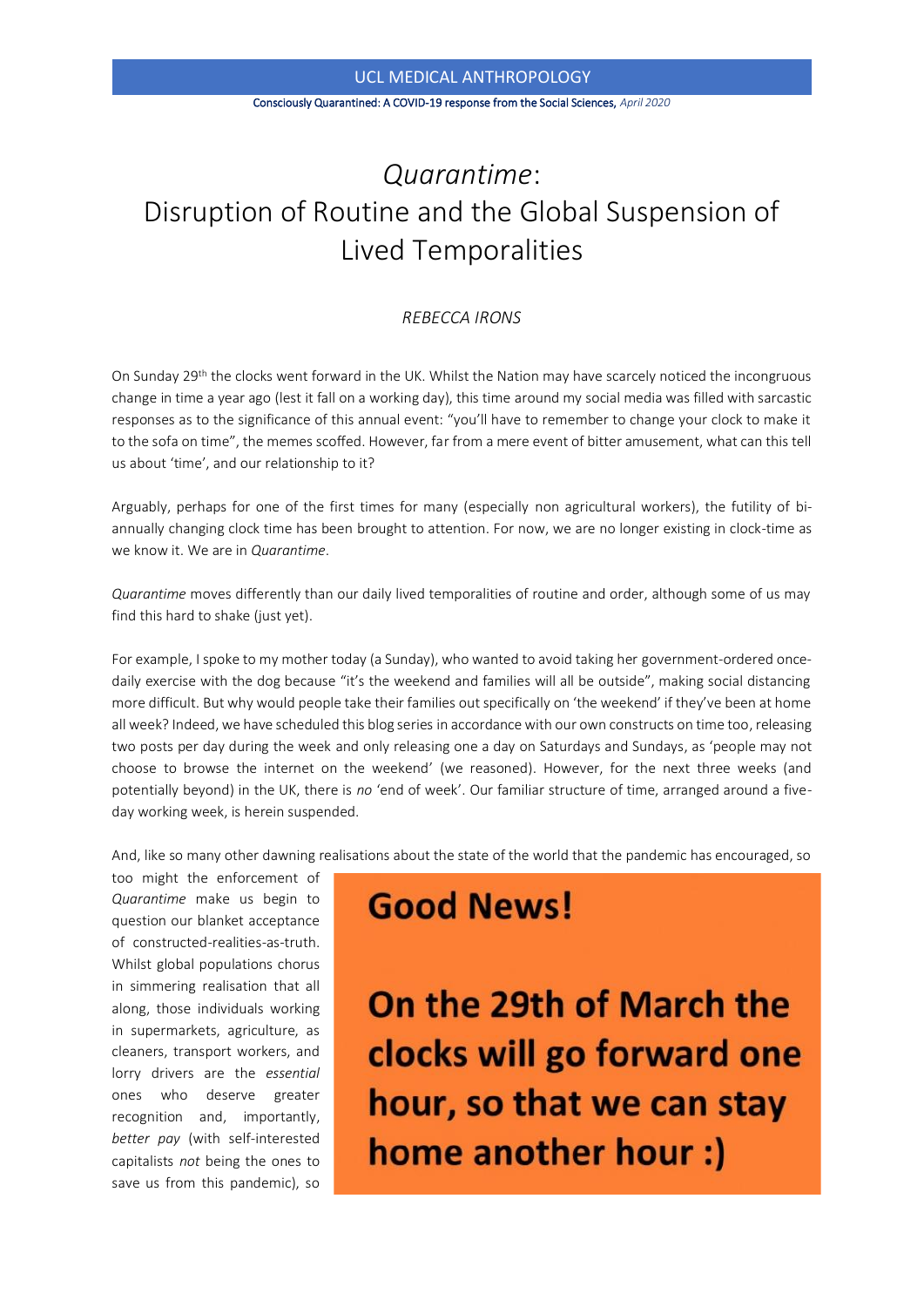#### Consciously Quarantined: A COVID-19 response from the Social Sciences, *April 2020*

### *Quarantime*: Disruption of Routine and the Global Suspension of Lived Temporalities

#### *REBECCA IRONS*

On Sunday 29th the clocks went forward in the UK. Whilst the Nation may have scarcely noticed the incongruous change in time a year ago (lest it fall on a working day), this time around my social media was filled with sarcastic responses as to the significance of this annual event: "you'll have to remember to change your clock to make it to the sofa on time", the memes scoffed. However, far from a mere event of bitter amusement, what can this tell us about 'time', and our relationship to it?

Arguably, perhaps for one of the first times for many (especially non agricultural workers), the futility of biannually changing clock time has been brought to attention. For now, we are no longer existing in clock-time as we know it. We are in *Quarantime*.

*Quarantime* moves differently than our daily lived temporalities of routine and order, although some of us may find this hard to shake (just yet).

For example, I spoke to my mother today (a Sunday), who wanted to avoid taking her government-ordered oncedaily exercise with the dog because "it's the weekend and families will all be outside", making social distancing more difficult. But why would people take their families out specifically on 'the weekend' if they've been at home all week? Indeed, we have scheduled this blog series in accordance with our own constructs on time too, releasing two posts per day during the week and only releasing one a day on Saturdays and Sundays, as 'people may not choose to browse the internet on the weekend' (we reasoned). However, for the next three weeks (and potentially beyond) in the UK, there is *no* 'end of week'. Our familiar structure of time, arranged around a fiveday working week, is herein suspended.

And, like so many other dawning realisations about the state of the world that the pandemic has encouraged, so

too might the enforcement of *Quarantime* make us begin to question our blanket acceptance of constructed-realities-as-truth. Whilst global populations chorus in simmering realisation that all along, those individuals working in supermarkets, agriculture, as cleaners, transport workers, and lorry drivers are the *essential* ones who deserve greater recognition and, importantly, *better pay* (with self-interested capitalists *not* being the ones to save us from this pandemic), so

## **Good News!**

On the 29th of March the clocks will go forward one hour, so that we can stay home another hour :)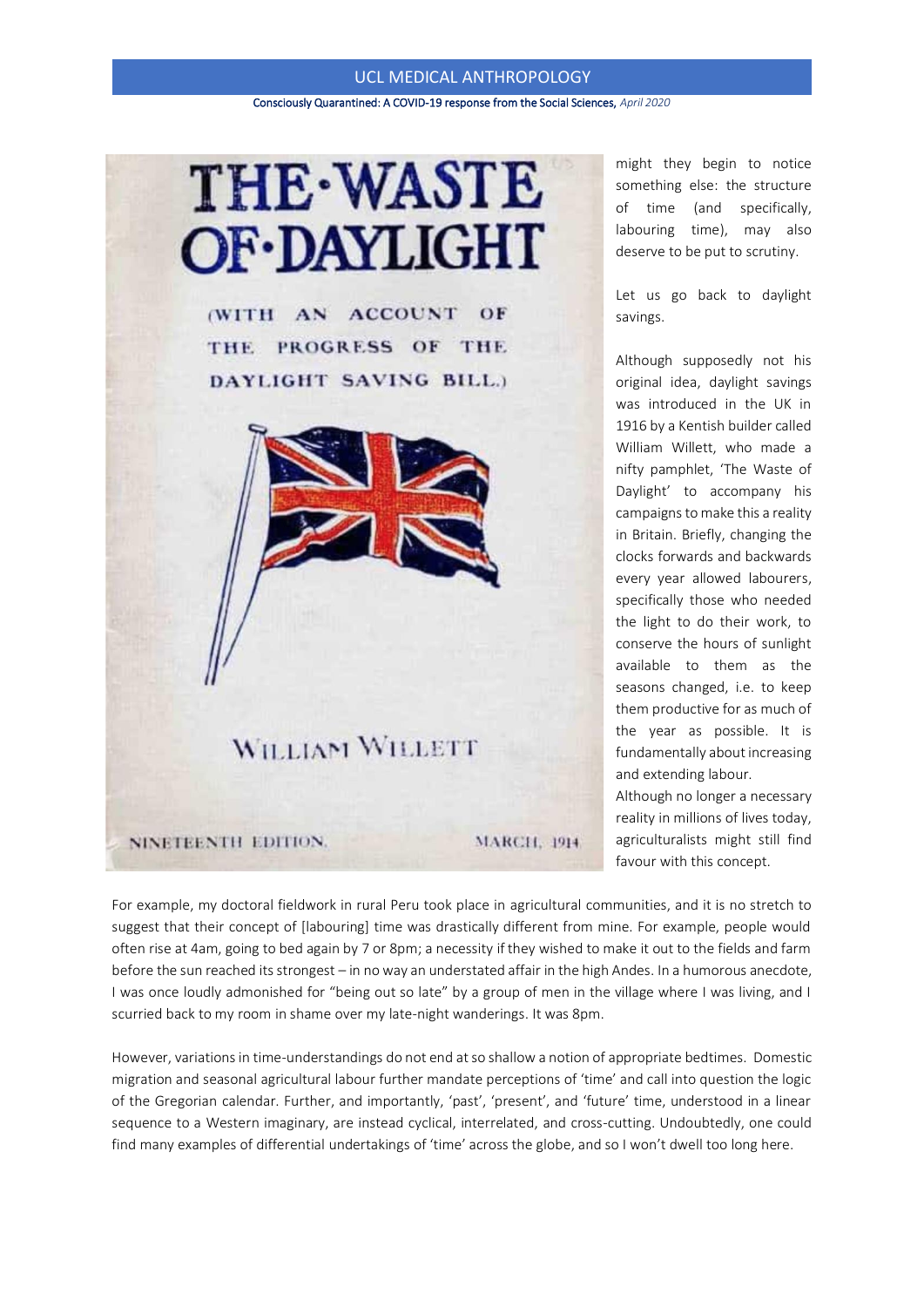Consciously Quarantined: A COVID-19 response from the Social Sciences, *April 2020*

# **THE-WASTE OF-DAYLIGHT**

(WITH AN ACCOUNT OF THE PROGRESS OF THE DAYLIGHT SAVING BILL.)



NINETEENTH EDITION.

**MARCH, 1914** 

might they begin to notice something else: the structure of time (and specifically, labouring time), may also deserve to be put to scrutiny.

Let us go back to daylight savings.

Although supposedly not his original idea, daylight savings was introduced in the UK in 1916 by a Kentish builder called William Willett, who made a nifty pamphlet, 'The Waste of Daylight' to accompany his campaigns to make this a reality in Britain. Briefly, changing the clocks forwards and backwards every year allowed labourers, specifically those who needed the light to do their work, to conserve the hours of sunlight available to them as the seasons changed, i.e. to keep them productive for as much of the year as possible. It is fundamentally about increasing and extending labour.

Although no longer a necessary reality in millions of lives today, agriculturalists might still find favour with this concept.

For example, my doctoral fieldwork in rural Peru took place in agricultural communities, and it is no stretch to suggest that their concept of [labouring] time was drastically different from mine. For example, people would often rise at 4am, going to bed again by 7 or 8pm; a necessity if they wished to make it out to the fields and farm before the sun reached its strongest – in no way an understated affair in the high Andes. In a humorous anecdote, I was once loudly admonished for "being out so late" by a group of men in the village where I was living, and I scurried back to my room in shame over my late-night wanderings. It was 8pm.

However, variations in time-understandings do not end at so shallow a notion of appropriate bedtimes. Domestic migration and seasonal agricultural labour further mandate perceptions of 'time' and call into question the logic of the Gregorian calendar. Further, and importantly, 'past', 'present', and 'future' time, understood in a linear sequence to a Western imaginary, are instead cyclical, interrelated, and cross-cutting. Undoubtedly, one could find many examples of differential undertakings of 'time' across the globe, and so I won't dwell too long here.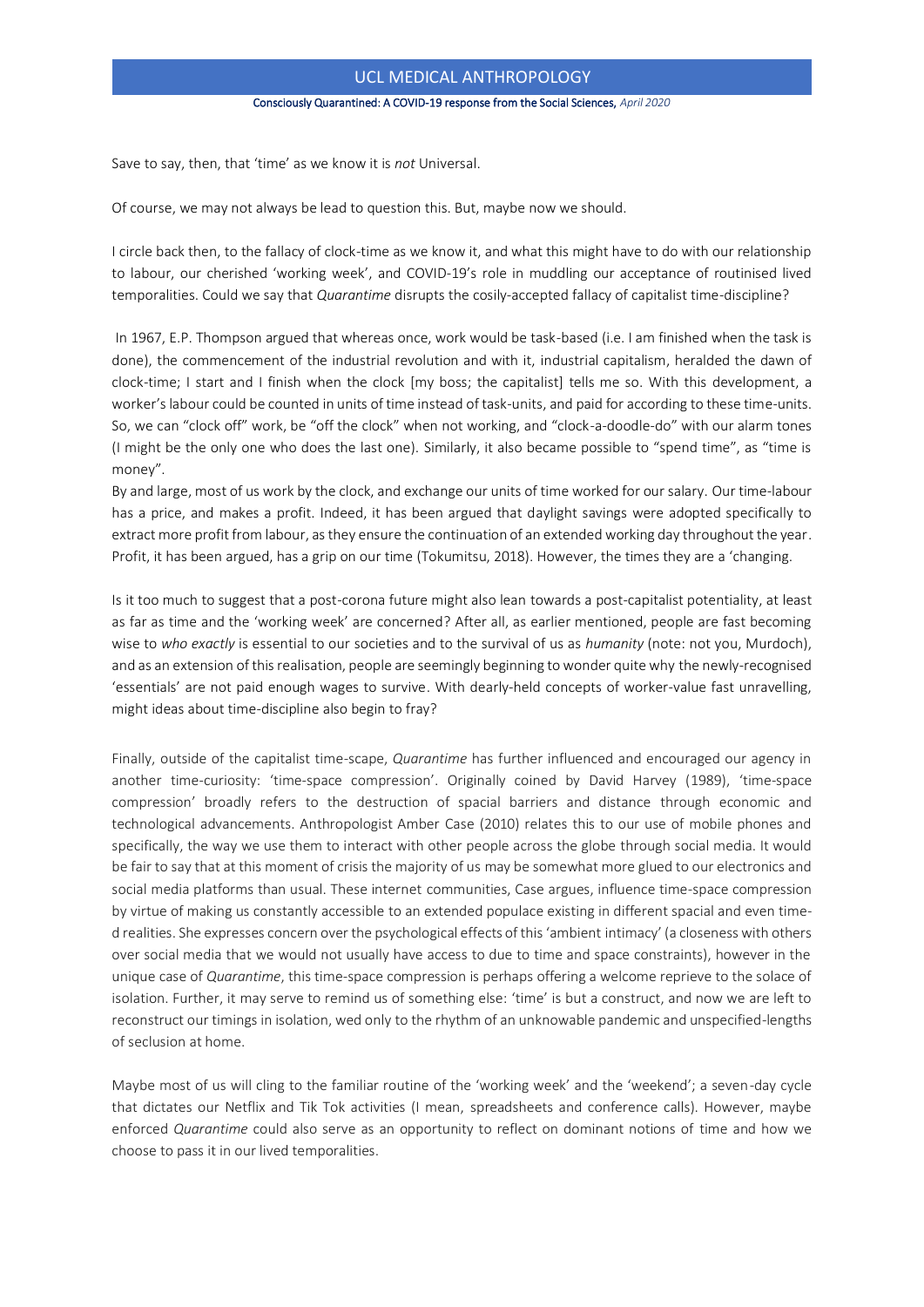Consciously Quarantined: A COVID-19 response from the Social Sciences, *April 2020*

Save to say, then, that 'time' as we know it is *not* Universal.

Of course, we may not always be lead to question this. But, maybe now we should.

I circle back then, to the fallacy of clock-time as we know it, and what this might have to do with our relationship to labour, our cherished 'working week', and COVID-19's role in muddling our acceptance of routinised lived temporalities. Could we say that *Quarantime* disrupts the cosily-accepted fallacy of capitalist time-discipline?

In 1967, E.P. Thompson argued that whereas once, work would be task-based (i.e. I am finished when the task is done), the commencement of the industrial revolution and with it, industrial capitalism, heralded the dawn of clock-time; I start and I finish when the clock [my boss; the capitalist] tells me so. With this development, a worker's labour could be counted in units of time instead of task-units, and paid for according to these time-units. So, we can "clock off" work, be "off the clock" when not working, and "clock-a-doodle-do" with our alarm tones (I might be the only one who does the last one). Similarly, it also became possible to "spend time", as "time is money".

By and large, most of us work by the clock, and exchange our units of time worked for our salary. Our time-labour has a price, and makes a profit. Indeed, it has been argued that daylight savings were adopted specifically to extract more profit from labour, as they ensure the continuation of an extended working day throughout the year. Profit, it has been argued, has a grip on our time (Tokumitsu, 2018). However, the times they are a 'changing.

Is it too much to suggest that a post-corona future might also lean towards a post-capitalist potentiality, at least as far as time and the 'working week' are concerned? After all, as earlier mentioned, people are fast becoming wise to *who exactly* is essential to our societies and to the survival of us as *humanity* (note: not you, Murdoch), and as an extension of this realisation, people are seemingly beginning to wonder quite why the newly-recognised 'essentials' are not paid enough wages to survive. With dearly-held concepts of worker-value fast unravelling, might ideas about time-discipline also begin to fray?

Finally, outside of the capitalist time-scape, *Quarantime* has further influenced and encouraged our agency in another time-curiosity: 'time-space compression'. Originally coined by David Harvey (1989), 'time-space compression' broadly refers to the destruction of spacial barriers and distance through economic and technological advancements. Anthropologist Amber Case (2010) relates this to our use of mobile phones and specifically, the way we use them to interact with other people across the globe through social media. It would be fair to say that at this moment of crisis the majority of us may be somewhat more glued to our electronics and social media platforms than usual. These internet communities, Case argues, influence time-space compression by virtue of making us constantly accessible to an extended populace existing in different spacial and even timed realities. She expresses concern over the psychological effects of this 'ambient intimacy' (a closeness with others over social media that we would not usually have access to due to time and space constraints), however in the unique case of *Quarantime*, this time-space compression is perhaps offering a welcome reprieve to the solace of isolation. Further, it may serve to remind us of something else: 'time' is but a construct, and now we are left to reconstruct our timings in isolation, wed only to the rhythm of an unknowable pandemic and unspecified-lengths of seclusion at home.

Maybe most of us will cling to the familiar routine of the 'working week' and the 'weekend'; a seven-day cycle that dictates our Netflix and Tik Tok activities (I mean, spreadsheets and conference calls). However, maybe enforced *Quarantime* could also serve as an opportunity to reflect on dominant notions of time and how we choose to pass it in our lived temporalities.